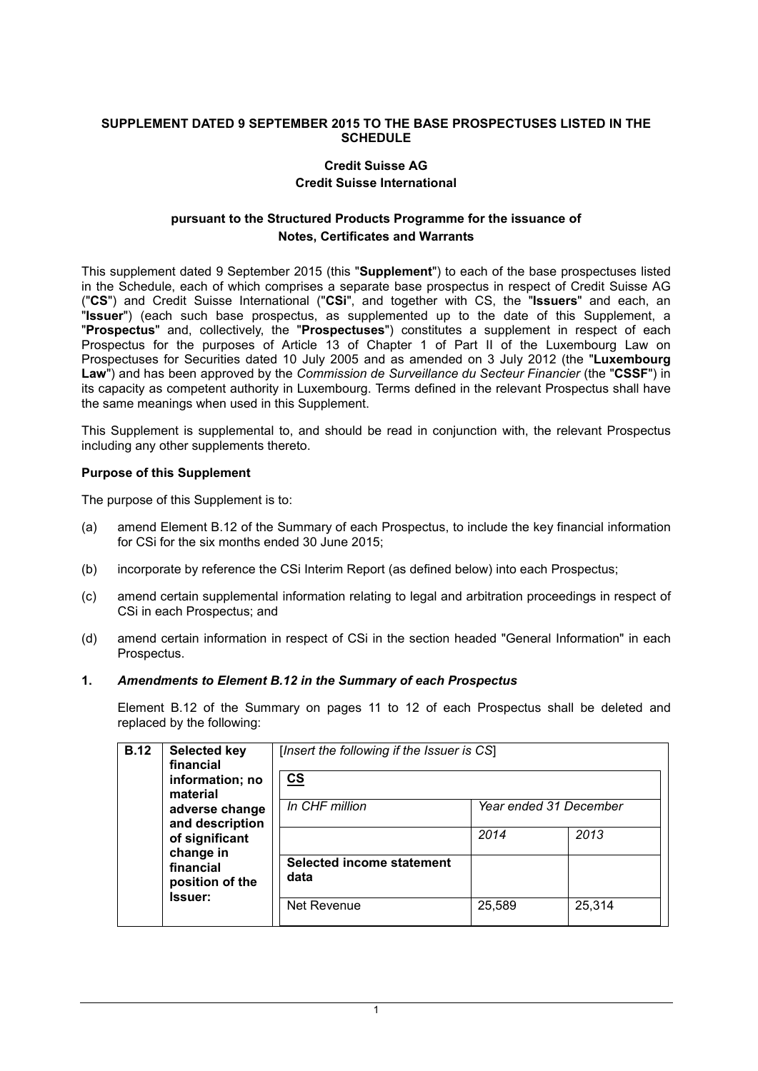#### **SUPPLEMENT DATED 9 SEPTEMBER 2015 TO THE BASE PROSPECTUSES LISTED IN THE SCHEDULE**

# **Credit Suisse AG**

#### **Credit Suisse International**

# **pursuant to the Structured Products Programme for the issuance of Notes, Certificates and Warrants**

This supplement dated 9 September 2015 (this "**Supplement**") to each of the base prospectuses listed in the Schedule, each of which comprises a separate base prospectus in respect of Credit Suisse AG ("**CS**") and Credit Suisse International ("**CSi**", and together with CS, the "**Issuers**" and each, an "**Issuer**") (each such base prospectus, as supplemented up to the date of this Supplement, a "**Prospectus**" and, collectively, the "**Prospectuses**") constitutes a supplement in respect of each Prospectus for the purposes of Article 13 of Chapter 1 of Part II of the Luxembourg Law on Prospectuses for Securities dated 10 July 2005 and as amended on 3 July 2012 (the "**Luxembourg Law**") and has been approved by the *Commission de Surveillance du Secteur Financier* (the "**CSSF**") in its capacity as competent authority in Luxembourg. Terms defined in the relevant Prospectus shall have the same meanings when used in this Supplement.

This Supplement is supplemental to, and should be read in conjunction with, the relevant Prospectus including any other supplements thereto.

#### **Purpose of this Supplement**

The purpose of this Supplement is to:

- (a) amend Element B.12 of the Summary of each Prospectus, to include the key financial information for CSi for the six months ended 30 June 2015;
- (b) incorporate by reference the CSi Interim Report (as defined below) into each Prospectus;
- (c) amend certain supplemental information relating to legal and arbitration proceedings in respect of CSi in each Prospectus; and
- (d) amend certain information in respect of CSi in the section headed "General Information" in each Prospectus.

### **1.** *Amendments to Element B.12 in the Summary of each Prospectus*

Element B.12 of the Summary on pages 11 to 12 of each Prospectus shall be deleted and replaced by the following:

| <b>B.12</b> | Selected key<br>financial<br>information; no<br>material<br>adverse change<br>and description<br>of significant<br>change in<br>financial<br>position of the<br>lssuer: | [Insert the following if the Issuer is CS]<br>$\underline{\mathbf{cs}}$ |                        |        |  |
|-------------|-------------------------------------------------------------------------------------------------------------------------------------------------------------------------|-------------------------------------------------------------------------|------------------------|--------|--|
|             |                                                                                                                                                                         | In CHF million                                                          | Year ended 31 December |        |  |
|             |                                                                                                                                                                         |                                                                         | 2014                   | 2013   |  |
|             |                                                                                                                                                                         | <b>Selected income statement</b><br>data                                |                        |        |  |
|             |                                                                                                                                                                         | Net Revenue                                                             | 25,589                 | 25,314 |  |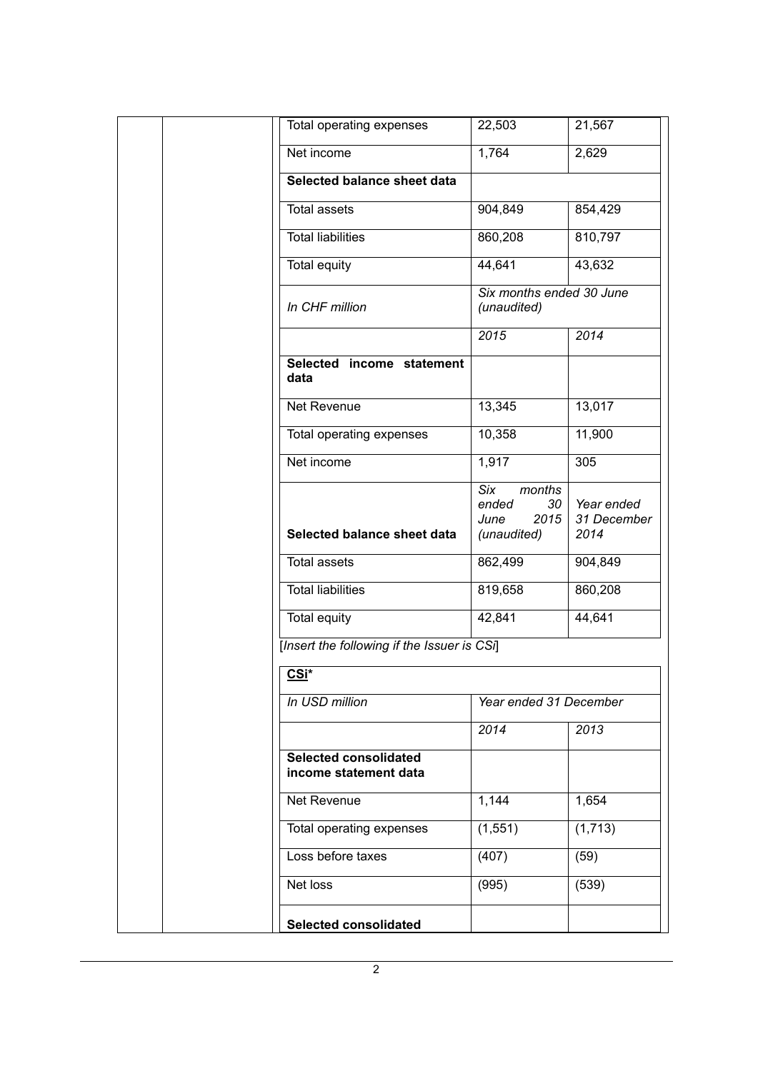| Total operating expenses                              | 22,503                                       | 21,567                    |  |
|-------------------------------------------------------|----------------------------------------------|---------------------------|--|
| Net income                                            | 1,764                                        | 2,629                     |  |
| Selected balance sheet data                           |                                              |                           |  |
| <b>Total assets</b>                                   | 904,849                                      | 854,429                   |  |
| <b>Total liabilities</b>                              | 860,208                                      | 810,797                   |  |
| <b>Total equity</b>                                   | 44,641                                       | 43,632                    |  |
| In CHF million                                        | Six months ended 30 June<br>(unaudited)      |                           |  |
|                                                       | 2015                                         | 2014                      |  |
| Selected income statement<br>data                     |                                              |                           |  |
| Net Revenue                                           | 13,345                                       | 13,017                    |  |
| Total operating expenses                              | 10,358                                       | 11,900                    |  |
| Net income                                            | 1,917                                        | 305                       |  |
|                                                       | Six<br>months<br>30<br>ended<br>2015<br>June | Year ended<br>31 December |  |
| Selected balance sheet data                           | (unaudited)                                  | 2014                      |  |
| <b>Total assets</b>                                   | 862,499                                      | 904,849                   |  |
| <b>Total liabilities</b>                              | 819,658                                      | 860,208                   |  |
| <b>Total equity</b>                                   | 42,841                                       | 44,641                    |  |
| [Insert the following if the Issuer is CSi]           |                                              |                           |  |
| CSi*                                                  |                                              |                           |  |
| In USD million                                        | Year ended 31 December                       |                           |  |
|                                                       | 2014                                         | 2013                      |  |
| <b>Selected consolidated</b><br>income statement data |                                              |                           |  |
| Net Revenue                                           | 1,144                                        | 1,654                     |  |
| Total operating expenses                              | (1, 551)                                     | (1,713)                   |  |
| Loss before taxes                                     | (407)                                        | (59)                      |  |
| Net loss                                              | (995)                                        | (539)                     |  |
| <b>Selected consolidated</b>                          |                                              |                           |  |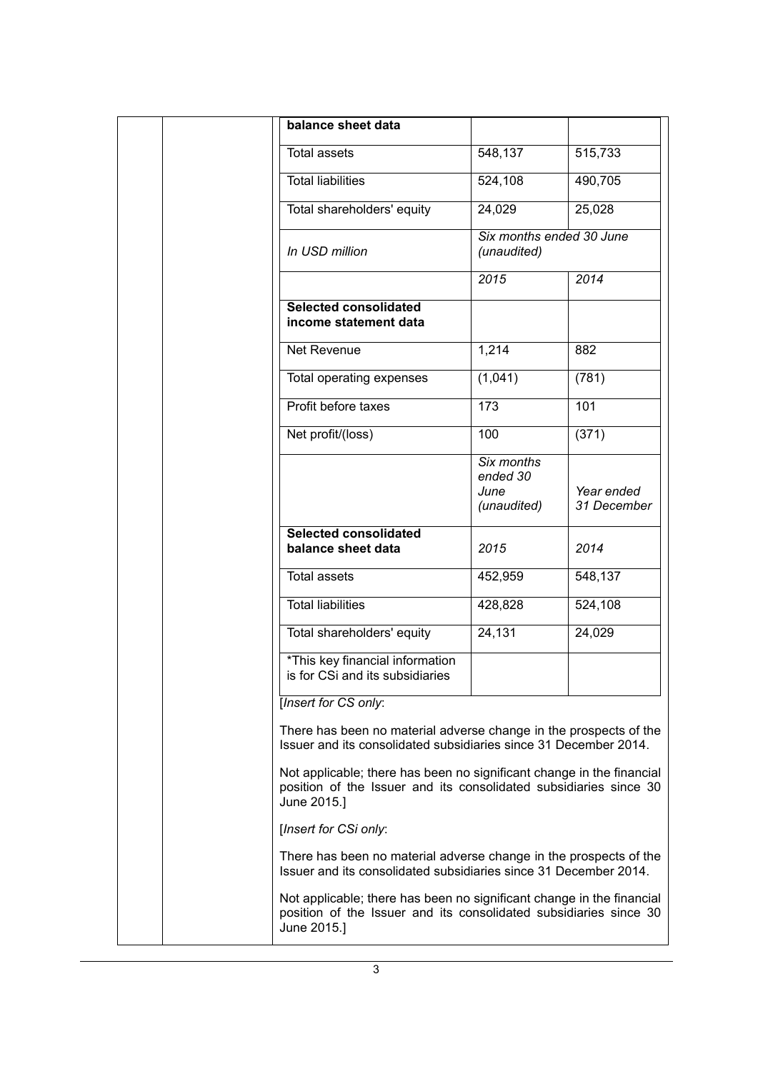| balance sheet data                                                                                                                                        |                                               |                           |
|-----------------------------------------------------------------------------------------------------------------------------------------------------------|-----------------------------------------------|---------------------------|
| <b>Total assets</b>                                                                                                                                       | 548,137                                       | 515,733                   |
| <b>Total liabilities</b>                                                                                                                                  | 524,108                                       | 490,705                   |
| Total shareholders' equity                                                                                                                                | 24,029                                        | 25,028                    |
| In USD million                                                                                                                                            | Six months ended 30 June<br>(unaudited)       |                           |
|                                                                                                                                                           | 2015                                          | 2014                      |
| Selected consolidated<br>income statement data                                                                                                            |                                               |                           |
| Net Revenue                                                                                                                                               | 1,214                                         | 882                       |
| Total operating expenses                                                                                                                                  | (1,041)                                       | (781)                     |
| Profit before taxes                                                                                                                                       | 173                                           | 101                       |
| Net profit/(loss)                                                                                                                                         | 100                                           | (371)                     |
|                                                                                                                                                           | Six months<br>ended 30<br>June<br>(unaudited) | Year ended<br>31 December |
| <b>Selected consolidated</b><br>balance sheet data                                                                                                        | 2015                                          | 2014                      |
| <b>Total assets</b>                                                                                                                                       | 452,959                                       | 548,137                   |
| <b>Total liabilities</b>                                                                                                                                  | 428,828                                       | 524,108                   |
| Total shareholders' equity                                                                                                                                | 24,131                                        | 24,029                    |
| *This key financial information<br>is for CSi and its subsidiaries                                                                                        |                                               |                           |
| [Insert for CS only:                                                                                                                                      |                                               |                           |
| There has been no material adverse change in the prospects of the<br>Issuer and its consolidated subsidiaries since 31 December 2014.                     |                                               |                           |
| Not applicable; there has been no significant change in the financial<br>position of the Issuer and its consolidated subsidiaries since 30<br>June 2015.] |                                               |                           |
| [Insert for CSi only:                                                                                                                                     |                                               |                           |
| There has been no material adverse change in the prospects of the<br>Issuer and its consolidated subsidiaries since 31 December 2014.                     |                                               |                           |
| Not applicable; there has been no significant change in the financial<br>position of the Issuer and its consolidated subsidiaries since 30<br>June 2015.] |                                               |                           |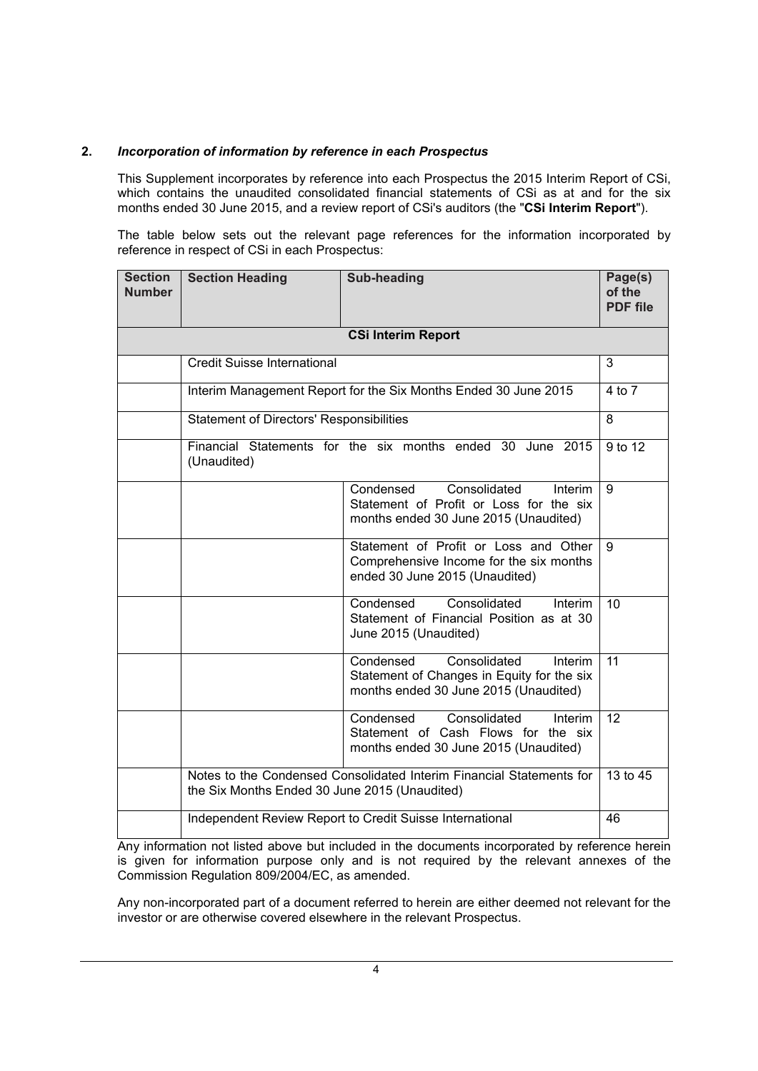### **2.** *Incorporation of information by reference in each Prospectus*

This Supplement incorporates by reference into each Prospectus the 2015 Interim Report of CSi, which contains the unaudited consolidated financial statements of CSi as at and for the six months ended 30 June 2015, and a review report of CSi's auditors (the "**CSi Interim Report**").

The table below sets out the relevant page references for the information incorporated by reference in respect of CSi in each Prospectus:

| <b>Section</b><br><b>Number</b> | <b>Section Heading</b>                                                                                                | <b>Sub-heading</b>                                                                                                          | Page(s)<br>of the<br><b>PDF</b> file |  |  |  |
|---------------------------------|-----------------------------------------------------------------------------------------------------------------------|-----------------------------------------------------------------------------------------------------------------------------|--------------------------------------|--|--|--|
| <b>CSi Interim Report</b>       |                                                                                                                       |                                                                                                                             |                                      |  |  |  |
|                                 | <b>Credit Suisse International</b>                                                                                    |                                                                                                                             | 3                                    |  |  |  |
|                                 |                                                                                                                       | Interim Management Report for the Six Months Ended 30 June 2015                                                             | 4 to 7                               |  |  |  |
|                                 | <b>Statement of Directors' Responsibilities</b>                                                                       |                                                                                                                             | 8                                    |  |  |  |
|                                 | (Unaudited)                                                                                                           | Financial Statements for the six months ended 30 June 2015                                                                  | 9 to 12                              |  |  |  |
|                                 |                                                                                                                       | Consolidated<br>Condensed<br>Interim<br>Statement of Profit or Loss for the six<br>months ended 30 June 2015 (Unaudited)    | 9                                    |  |  |  |
|                                 |                                                                                                                       | Statement of Profit or Loss and Other<br>Comprehensive Income for the six months<br>ended 30 June 2015 (Unaudited)          | 9                                    |  |  |  |
|                                 |                                                                                                                       | Consolidated<br>Condensed<br>Interim<br>Statement of Financial Position as at 30<br>June 2015 (Unaudited)                   | 10                                   |  |  |  |
|                                 |                                                                                                                       | Condensed<br>Consolidated<br>Interim<br>Statement of Changes in Equity for the six<br>months ended 30 June 2015 (Unaudited) | 11                                   |  |  |  |
|                                 |                                                                                                                       | Condensed<br>Consolidated<br>Interim<br>Statement of Cash Flows for the six<br>months ended 30 June 2015 (Unaudited)        | 12                                   |  |  |  |
|                                 | Notes to the Condensed Consolidated Interim Financial Statements for<br>the Six Months Ended 30 June 2015 (Unaudited) |                                                                                                                             |                                      |  |  |  |
|                                 |                                                                                                                       | Independent Review Report to Credit Suisse International                                                                    | 46                                   |  |  |  |

Any information not listed above but included in the documents incorporated by reference herein is given for information purpose only and is not required by the relevant annexes of the Commission Regulation 809/2004/EC, as amended.

Any non-incorporated part of a document referred to herein are either deemed not relevant for the investor or are otherwise covered elsewhere in the relevant Prospectus.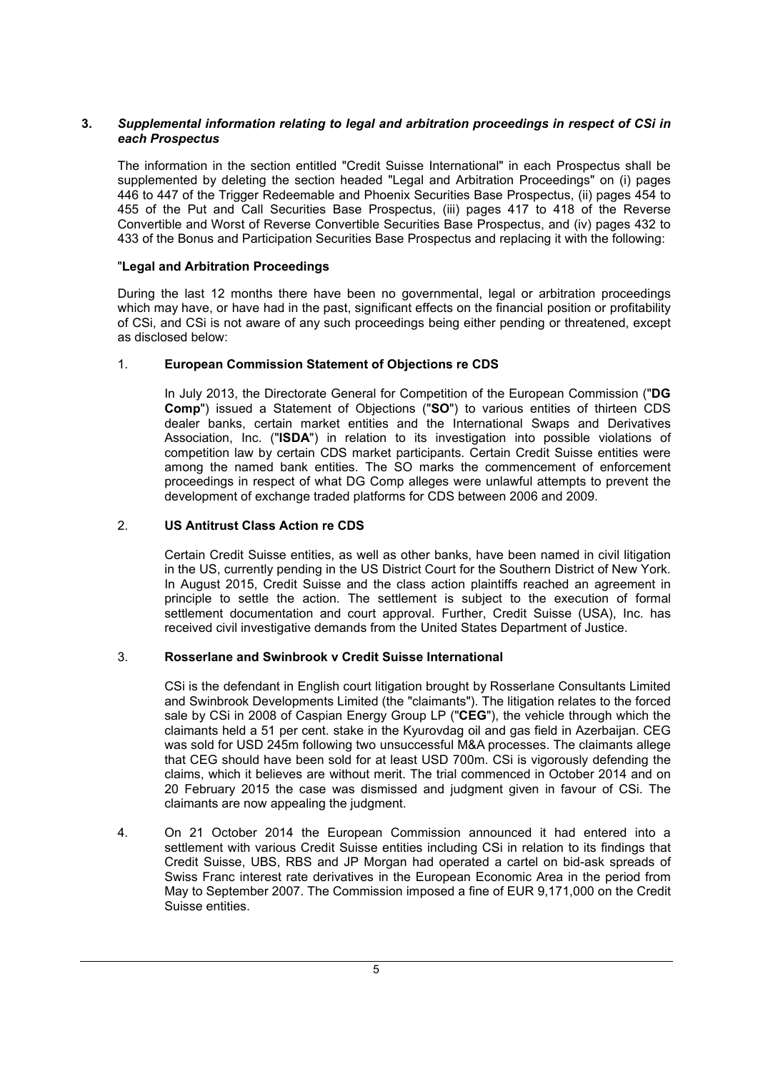# **3.** *Supplemental information relating to legal and arbitration proceedings in respect of CSi in each Prospectus*

The information in the section entitled "Credit Suisse International" in each Prospectus shall be supplemented by deleting the section headed "Legal and Arbitration Proceedings" on (i) pages 446 to 447 of the Trigger Redeemable and Phoenix Securities Base Prospectus, (ii) pages 454 to 455 of the Put and Call Securities Base Prospectus, (iii) pages 417 to 418 of the Reverse Convertible and Worst of Reverse Convertible Securities Base Prospectus, and (iv) pages 432 to 433 of the Bonus and Participation Securities Base Prospectus and replacing it with the following:

### "**Legal and Arbitration Proceedings**

During the last 12 months there have been no governmental, legal or arbitration proceedings which may have, or have had in the past, significant effects on the financial position or profitability of CSi, and CSi is not aware of any such proceedings being either pending or threatened, except as disclosed below:

# 1. **European Commission Statement of Objections re CDS**

In July 2013, the Directorate General for Competition of the European Commission ("**DG Comp**") issued a Statement of Objections ("**SO**") to various entities of thirteen CDS dealer banks, certain market entities and the International Swaps and Derivatives Association, Inc. ("**ISDA**") in relation to its investigation into possible violations of competition law by certain CDS market participants. Certain Credit Suisse entities were among the named bank entities. The SO marks the commencement of enforcement proceedings in respect of what DG Comp alleges were unlawful attempts to prevent the development of exchange traded platforms for CDS between 2006 and 2009.

# 2. **US Antitrust Class Action re CDS**

Certain Credit Suisse entities, as well as other banks, have been named in civil litigation in the US, currently pending in the US District Court for the Southern District of New York. In August 2015, Credit Suisse and the class action plaintiffs reached an agreement in principle to settle the action. The settlement is subject to the execution of formal settlement documentation and court approval. Further, Credit Suisse (USA), Inc. has received civil investigative demands from the United States Department of Justice.

# 3. **Rosserlane and Swinbrook v Credit Suisse International**

CSi is the defendant in English court litigation brought by Rosserlane Consultants Limited and Swinbrook Developments Limited (the "claimants"). The litigation relates to the forced sale by CSi in 2008 of Caspian Energy Group LP ("**CEG**"), the vehicle through which the claimants held a 51 per cent. stake in the Kyurovdag oil and gas field in Azerbaijan. CEG was sold for USD 245m following two unsuccessful M&A processes. The claimants allege that CEG should have been sold for at least USD 700m. CSi is vigorously defending the claims, which it believes are without merit. The trial commenced in October 2014 and on 20 February 2015 the case was dismissed and judgment given in favour of CSi. The claimants are now appealing the judgment.

4. On 21 October 2014 the European Commission announced it had entered into a settlement with various Credit Suisse entities including CSi in relation to its findings that Credit Suisse, UBS, RBS and JP Morgan had operated a cartel on bid-ask spreads of Swiss Franc interest rate derivatives in the European Economic Area in the period from May to September 2007. The Commission imposed a fine of EUR 9,171,000 on the Credit Suisse entities.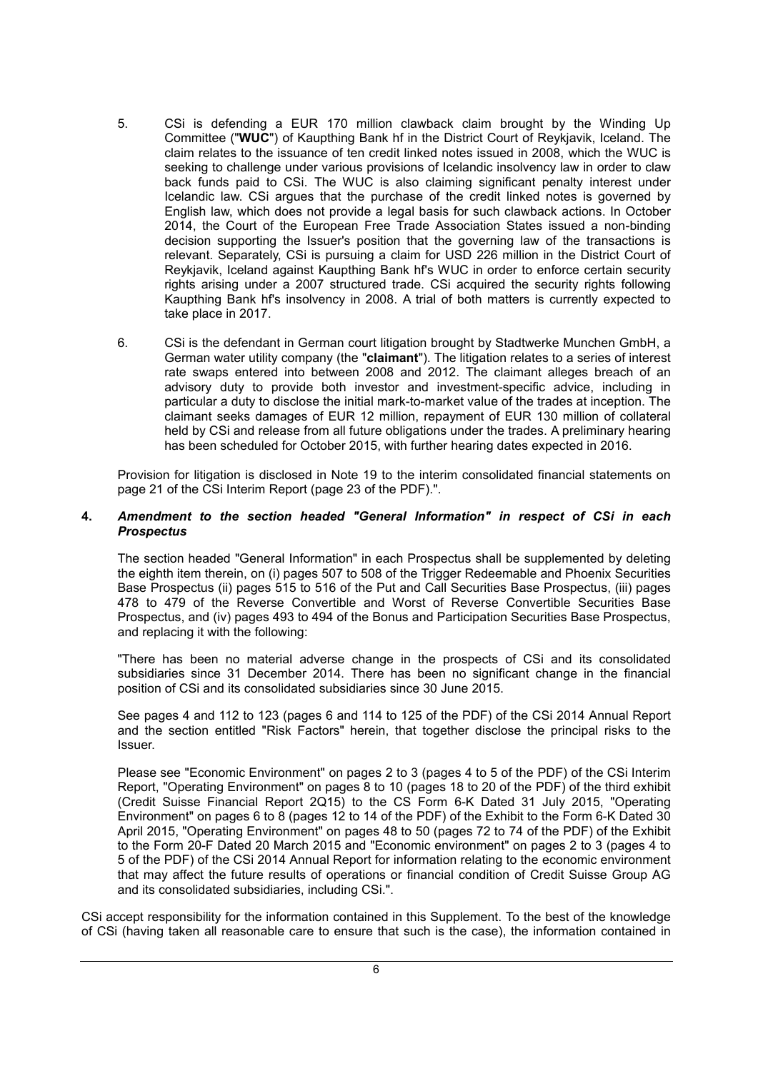- 5. CSi is defending a EUR 170 million clawback claim brought by the Winding Up Committee ("**WUC**") of Kaupthing Bank hf in the District Court of Reykjavik, Iceland. The claim relates to the issuance of ten credit linked notes issued in 2008, which the WUC is seeking to challenge under various provisions of Icelandic insolvency law in order to claw back funds paid to CSi. The WUC is also claiming significant penalty interest under Icelandic law. CSi argues that the purchase of the credit linked notes is governed by English law, which does not provide a legal basis for such clawback actions. In October 2014, the Court of the European Free Trade Association States issued a non-binding decision supporting the Issuer's position that the governing law of the transactions is relevant. Separately, CSi is pursuing a claim for USD 226 million in the District Court of Reykjavik, Iceland against Kaupthing Bank hf's WUC in order to enforce certain security rights arising under a 2007 structured trade. CSi acquired the security rights following Kaupthing Bank hf's insolvency in 2008. A trial of both matters is currently expected to take place in 2017.
- 6. CSi is the defendant in German court litigation brought by Stadtwerke Munchen GmbH, a German water utility company (the "**claimant**"). The litigation relates to a series of interest rate swaps entered into between 2008 and 2012. The claimant alleges breach of an advisory duty to provide both investor and investment-specific advice, including in particular a duty to disclose the initial mark-to-market value of the trades at inception. The claimant seeks damages of EUR 12 million, repayment of EUR 130 million of collateral held by CSi and release from all future obligations under the trades. A preliminary hearing has been scheduled for October 2015, with further hearing dates expected in 2016.

Provision for litigation is disclosed in Note 19 to the interim consolidated financial statements on page 21 of the CSi Interim Report (page 23 of the PDF).".

#### **4.** *Amendment to the section headed "General Information" in respect of CSi in each Prospectus*

The section headed "General Information" in each Prospectus shall be supplemented by deleting the eighth item therein, on (i) pages 507 to 508 of the Trigger Redeemable and Phoenix Securities Base Prospectus (ii) pages 515 to 516 of the Put and Call Securities Base Prospectus, (iii) pages 478 to 479 of the Reverse Convertible and Worst of Reverse Convertible Securities Base Prospectus, and (iv) pages 493 to 494 of the Bonus and Participation Securities Base Prospectus, and replacing it with the following:

"There has been no material adverse change in the prospects of CSi and its consolidated subsidiaries since 31 December 2014. There has been no significant change in the financial position of CSi and its consolidated subsidiaries since 30 June 2015.

See pages 4 and 112 to 123 (pages 6 and 114 to 125 of the PDF) of the CSi 2014 Annual Report and the section entitled "Risk Factors" herein, that together disclose the principal risks to the Issuer.

Please see "Economic Environment" on pages 2 to 3 (pages 4 to 5 of the PDF) of the CSi Interim Report, "Operating Environment" on pages 8 to 10 (pages 18 to 20 of the PDF) of the third exhibit (Credit Suisse Financial Report 2Q15) to the CS Form 6-K Dated 31 July 2015, "Operating Environment" on pages 6 to 8 (pages 12 to 14 of the PDF) of the Exhibit to the Form 6-K Dated 30 April 2015, "Operating Environment" on pages 48 to 50 (pages 72 to 74 of the PDF) of the Exhibit to the Form 20-F Dated 20 March 2015 and "Economic environment" on pages 2 to 3 (pages 4 to 5 of the PDF) of the CSi 2014 Annual Report for information relating to the economic environment that may affect the future results of operations or financial condition of Credit Suisse Group AG and its consolidated subsidiaries, including CSi.".

CSi accept responsibility for the information contained in this Supplement. To the best of the knowledge of CSi (having taken all reasonable care to ensure that such is the case), the information contained in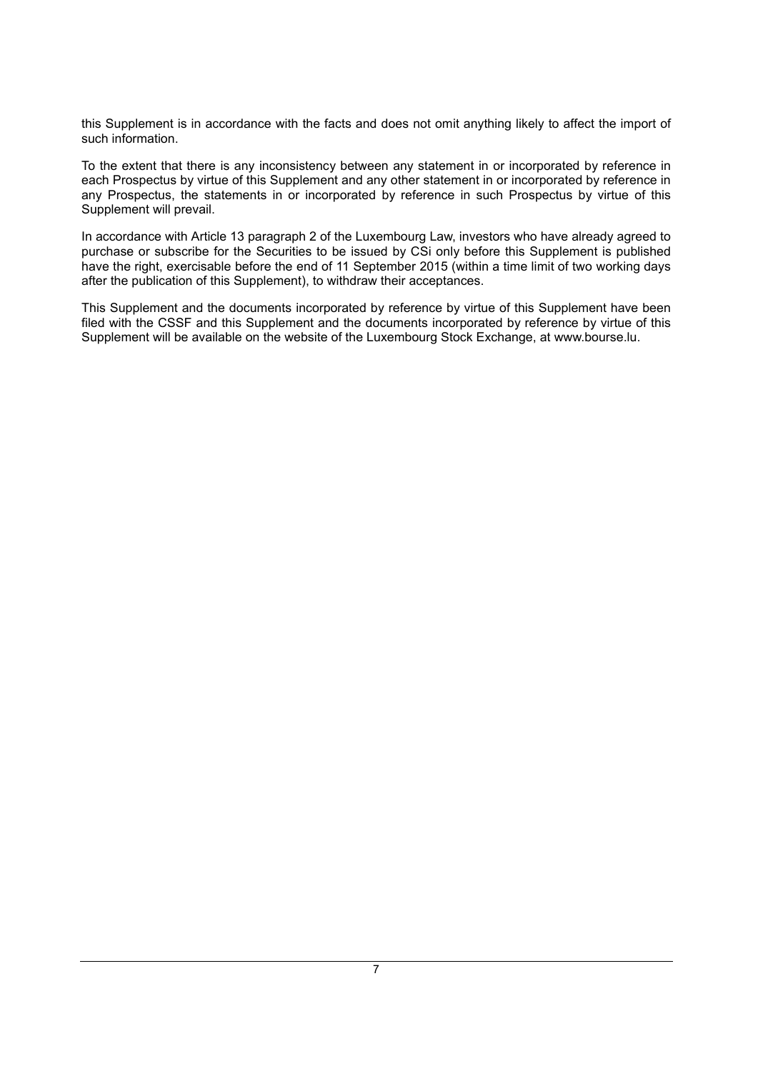this Supplement is in accordance with the facts and does not omit anything likely to affect the import of such information.

To the extent that there is any inconsistency between any statement in or incorporated by reference in each Prospectus by virtue of this Supplement and any other statement in or incorporated by reference in any Prospectus, the statements in or incorporated by reference in such Prospectus by virtue of this Supplement will prevail.

In accordance with Article 13 paragraph 2 of the Luxembourg Law, investors who have already agreed to purchase or subscribe for the Securities to be issued by CSi only before this Supplement is published have the right, exercisable before the end of 11 September 2015 (within a time limit of two working days after the publication of this Supplement), to withdraw their acceptances.

This Supplement and the documents incorporated by reference by virtue of this Supplement have been filed with the CSSF and this Supplement and the documents incorporated by reference by virtue of this Supplement will be available on the website of the Luxembourg Stock Exchange, at [www.bourse.lu](http://www.bourse.lu/).